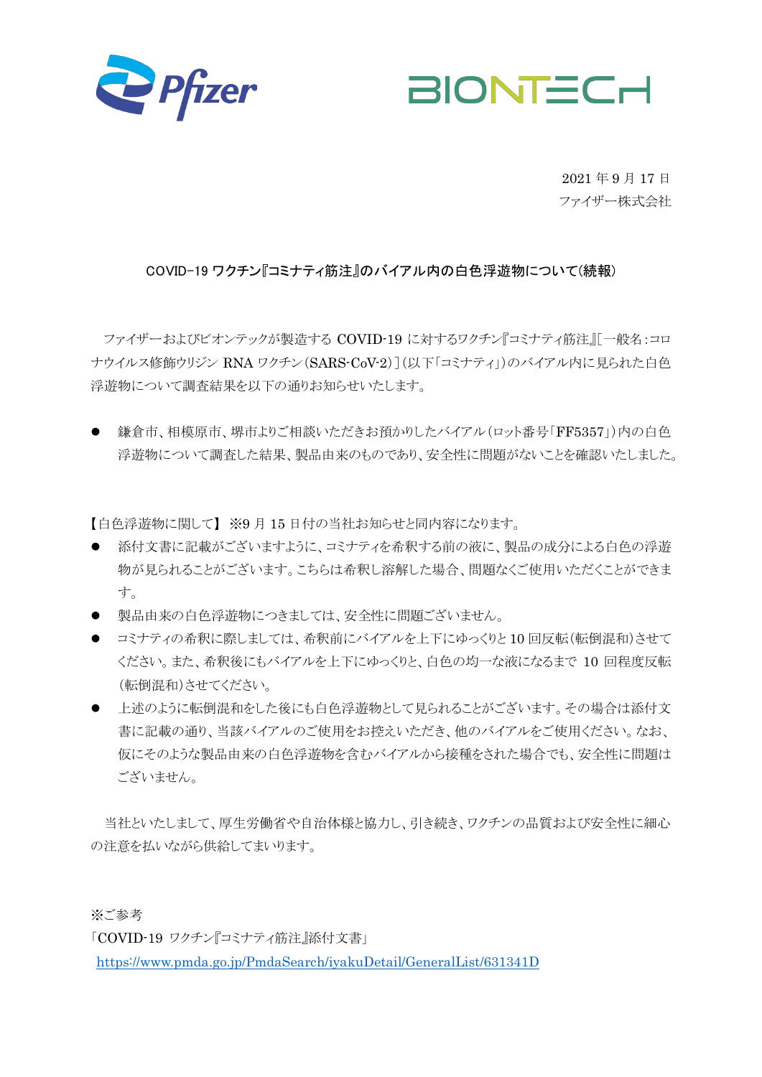



2021 年 9 月 17 日 ファイザー株式会社

## COVID-19 ワクチン『コミナティ筋注』のバイアル内の白色浮遊物について(続報)

ファイザーおよびビオンテックが製造する COVID-19 に対するワクチン『コミナティ筋注』[一般名:コロ ナウイルス修飾ウリジン RNA ワクチン(SARS-CoV-2)](以下「コミナティ」)のバイアル内に見られた白色 浮遊物について調査結果を以下の通りお知らせいたします。

● 鎌倉市、相模原市、堺市よりご相談いただきお預かりしたバイアル(ロット番号「FF5357」)内の白色 浮遊物について調査した結果、製品由来のものであり、安全性に問題がないことを確認いたしました。

【白色浮遊物に関して】 ※9 月 15 日付の当社お知らせと同内容になります。

- 添付文書に記載がございますように、コミナティを希釈する前の液に、製品の成分による白色の浮游 物が見られることがございます。こちらは希釈し溶解した場合、問題なくご使用いただくことができま す。
- 製品由来の白色浮游物につきましては、安全性に問題ございません。
- コミナティの希釈に際しましては、希釈前にバイアルを上下にゆっくりと10回反転(転倒混和)させて ください。また、希釈後にもバイアルを上下にゆっくりと、白色の均一な液になるまで 10 回程度反転 (転倒混和)させてください。
- 上述のように転倒混和をした後にも白色浮遊物として見られることがございます。その場合は添付文 書に記載の通り、当該バイアルのご使用をお控えいただき、他のバイアルをご使用ください。なお、 仮にそのような製品由来の白色浮遊物を含むバイアルから接種をされた場合でも、安全性に問題は ございません。

当社といたしまして、厚生労働省や自治体様と協力し、引き続き、ワクチンの品質および安全性に細心 の注意を払いながら供給してまいります。

※ご参考

「COVID-19 ワクチン『コミナティ筋注』添付文書」

<https://www.pmda.go.jp/PmdaSearch/iyakuDetail/GeneralList/631341D>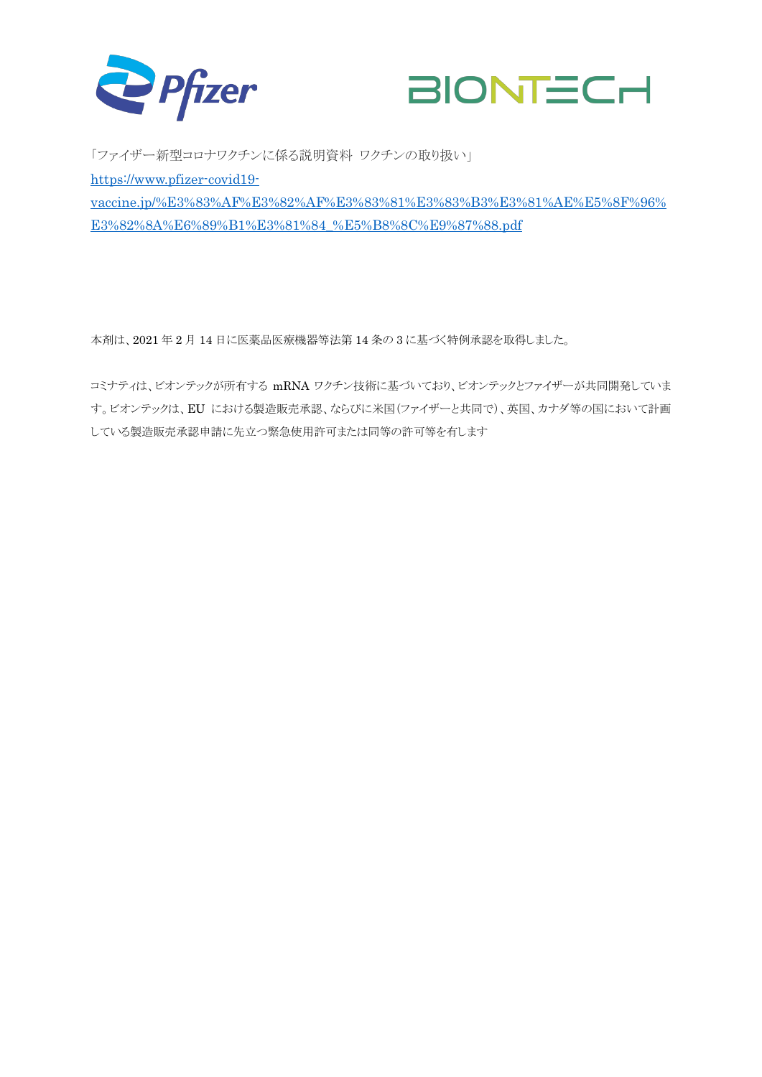



「ファイザー新型コロナワクチンに係る説明資料 ワクチンの取り扱い」 [https://www.pfizer-covid19](https://www.pfizer-covid19-vaccine.jp/%E3%83%AF%E3%82%AF%E3%83%81%E3%83%B3%E3%81%AE%E5%8F%96%E3%82%8A%E6%89%B1%E3%81%84_%E5%B8%8C%E9%87%88.pdf) [vaccine.jp/%E3%83%AF%E3%82%AF%E3%83%81%E3%83%B3%E3%81%AE%E5%8F%96%](https://www.pfizer-covid19-vaccine.jp/%E3%83%AF%E3%82%AF%E3%83%81%E3%83%B3%E3%81%AE%E5%8F%96%E3%82%8A%E6%89%B1%E3%81%84_%E5%B8%8C%E9%87%88.pdf) [E3%82%8A%E6%89%B1%E3%81%84\\_%E5%B8%8C%E9%87%88.pdf](https://www.pfizer-covid19-vaccine.jp/%E3%83%AF%E3%82%AF%E3%83%81%E3%83%B3%E3%81%AE%E5%8F%96%E3%82%8A%E6%89%B1%E3%81%84_%E5%B8%8C%E9%87%88.pdf)

本剤は、2021 年 2 月 14 日に医薬品医療機器等法第 14 条の 3 に基づく特例承認を取得しました。

コミナティは、ビオンテックが所有する mRNA ワクチン技術に基づいており、ビオンテックとファイザーが共同開発していま す。ビオンテックは、EU における製造販売承認、ならびに米国(ファイザーと共同で)、英国、カナダ等の国において計画 している製造販売承認申請に先立つ緊急使用許可または同等の許可等を有します